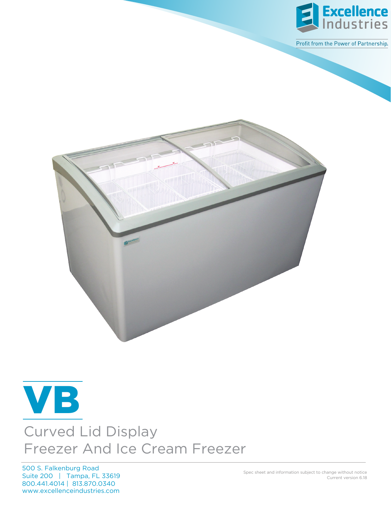

Profit from the Power of Partnership.





## Curved Lid Display Freezer And Ice Cream Freezer

www.excellenceindustries.com 500 S. Falkenburg Road Suite 200 | Tampa, FL 33619 800.441.4014 | 813.870.0340